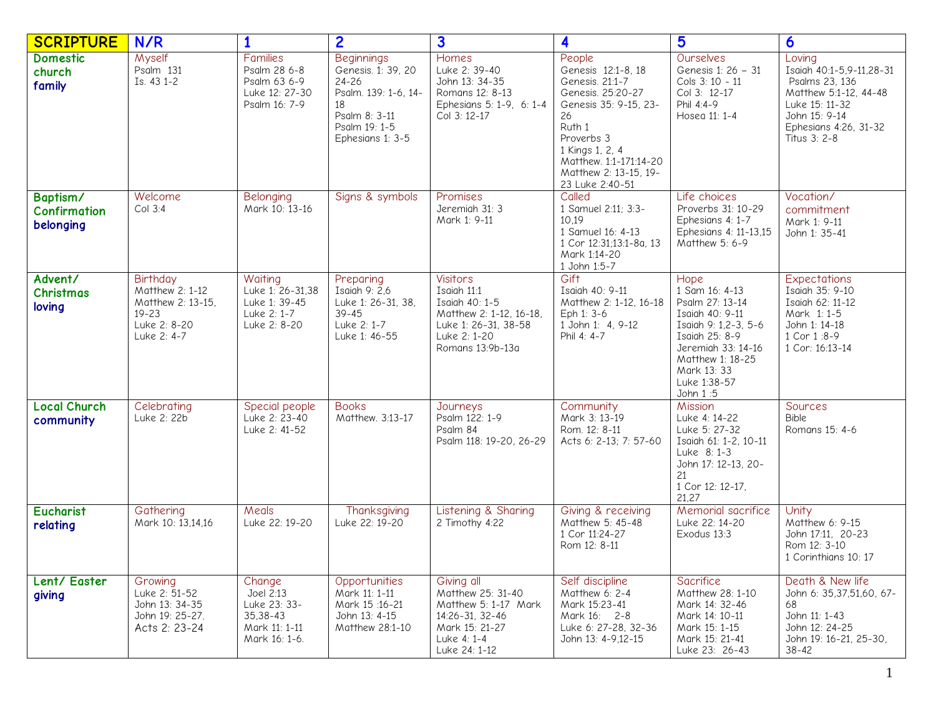| <b>SCRIPTURE</b>                             | N/R                                                                                                 | 1                                                                                  | $\overline{2}$                                                                                                                       | $\overline{\mathbf{3}}$                                                                                                                 | 4                                                                                                                                                                                                                    | 5                                                                                                                                                                                           | 6                                                                                                                                                         |
|----------------------------------------------|-----------------------------------------------------------------------------------------------------|------------------------------------------------------------------------------------|--------------------------------------------------------------------------------------------------------------------------------------|-----------------------------------------------------------------------------------------------------------------------------------------|----------------------------------------------------------------------------------------------------------------------------------------------------------------------------------------------------------------------|---------------------------------------------------------------------------------------------------------------------------------------------------------------------------------------------|-----------------------------------------------------------------------------------------------------------------------------------------------------------|
| <b>Domestic</b><br>church<br>family          | Myself<br>Psalm 131<br>Is. 43 1-2                                                                   | <b>Families</b><br>Psalm 28 6-8<br>Psalm 63 6-9<br>Luke 12: 27-30<br>Psalm 16: 7-9 | <b>Beginnings</b><br>Genesis. 1: 39, 20<br>24-26<br>Psalm. 139: 1-6, 14-<br>18<br>Psalm 8: 3-11<br>Psalm 19: 1-5<br>Ephesians 1: 3-5 | Homes<br>Luke 2: 39-40<br>John 13: 34-35<br>Romans 12: 8-13<br>Ephesians 5: 1-9, 6: 1-4<br>Col 3: 12-17                                 | People<br>Genesis 12:1-8, 18<br>Genesis. 21:1-7<br>Genesis. 25:20-27<br>Genesis 35: 9-15, 23-<br>26<br>Ruth 1<br>Proverbs 3<br>1 Kings 1, 2, 4<br>Matthew. 1:1-171:14-20<br>Matthew 2: 13-15, 19-<br>23 Luke 2:40-51 | Ourselves<br>Genesis 1: 26 - 31<br>Cols 3: 10 - 11<br>Col 3: 12-17<br>Phil 4:4-9<br>Hosea 11: 1-4                                                                                           | Loving<br>Isaiah 40:1-5,9-11,28-31<br>Psalms 23, 136<br>Matthew 5:1-12, 44-48<br>Luke 15: 11-32<br>John 15: 9-14<br>Ephesians 4:26, 31-32<br>Titus 3: 2-8 |
| Baptism/<br><b>Confirmation</b><br>belonging | Welcome<br>Col 3:4                                                                                  | Belonging<br>Mark 10: 13-16                                                        | Signs & symbols                                                                                                                      | Promises<br>Jeremiah 31: 3<br>Mark 1: 9-11                                                                                              | Called<br>1 Samuel 2:11; 3:3-<br>10,19<br>1 Samuel 16: 4-13<br>1 Cor 12:31;13:1-8a, 13<br>Mark 1:14-20<br>1 John 1:5-7                                                                                               | Life choices<br>Proverbs 31: 10-29<br>Ephesians 4: 1-7<br>Ephesians 4: 11-13,15<br>Matthew 5: 6-9                                                                                           | Vocation/<br>commitment<br>Mark 1: 9-11<br>John 1: 35-41                                                                                                  |
| Advent/<br><b>Christmas</b><br>loving        | <b>Birthday</b><br>Matthew 2: 1-12<br>Matthew 2: 13-15.<br>$19 - 23$<br>Luke 2: 8-20<br>Luke 2: 4-7 | Waiting<br>Luke 1: 26-31,38<br>Luke 1: 39-45<br>Luke 2: 1-7<br>Luke 2: 8-20        | Preparing<br>Isaiah 9: 2,6<br>Luke 1: 26-31, 38,<br>$39 - 45$<br>Luke 2: 1-7<br>Luke 1: 46-55                                        | <b>Visitors</b><br>Isaiah 11:1<br>Isaiah 40: 1-5<br>Matthew 2: 1-12, 16-18,<br>Luke 1: 26-31, 38-58<br>Luke 2: 1-20<br>Romans 13:9b-13a | Gift<br>Isaiah 40: 9-11<br>Matthew 2: 1-12, 16-18<br>Eph 1: 3-6<br>1 John 1: 4, 9-12<br>Phil 4: 4-7                                                                                                                  | Hope<br>1 Sam 16: 4-13<br>Psalm 27: 13-14<br>Isaiah 40: 9-11<br>Isaiah 9: 1,2-3, 5-6<br>Isaiah 25: 8-9<br>Jeremiah 33: 14-16<br>Matthew 1: 18-25<br>Mark 13: 33<br>Luke 1:38-57<br>John 1:5 | <b>Expectations</b><br>Isaiah 35: 9-10<br>Isaiah 62: 11-12<br>Mark 1: 1-5<br>John 1: 14-18<br>1 Cor 1:8-9<br>1 Cor: 16:13-14                              |
| <b>Local Church</b><br>community             | Celebrating<br>Luke 2: 22b                                                                          | Special people<br>Luke 2: 23-40<br>Luke 2: 41-52                                   | <b>Books</b><br>Matthew. 3:13-17                                                                                                     | Journeys<br>Psalm 122: 1-9<br>Psalm 84<br>Psalm 118: 19-20, 26-29                                                                       | Community<br>Mark 3: 13-19<br>Rom. 12: 8-11<br>Acts 6: 2-13; 7: 57-60                                                                                                                                                | Mission<br>Luke 4: 14-22<br>Luke 5: 27-32<br>Isaiah 61: 1-2, 10-11<br>Luke 8: 1-3<br>John 17: 12-13, 20-<br>21<br>1 Cor 12: 12-17,<br>21,27                                                 | Sources<br><b>Bible</b><br>Romans 15: 4-6                                                                                                                 |
| <b>Eucharist</b><br>relating                 | Gathering<br>Mark 10: 13.14.16                                                                      | Meals<br>Luke 22: 19-20                                                            | Thanksgiving<br>Luke 22: 19-20                                                                                                       | Listening & Sharing<br>2 Timothy 4:22                                                                                                   | Giving & receiving<br>Matthew 5: 45-48<br>1 Cor 11:24-27<br>Rom 12: 8-11                                                                                                                                             | Memorial sacrifice<br>Luke 22: 14-20<br>Exodus 13:3                                                                                                                                         | Unity<br>Matthew 6: 9-15<br>John 17:11, 20-23<br>Rom 12: 3-10<br>1 Corinthians 10: 17                                                                     |
| Lent/ Easter<br>giving                       | Growing<br>Luke 2: 51-52<br>John 13: 34-35<br>John 19: 25-27,<br>Acts 2: 23-24                      | Change<br>Joel 2:13<br>Luke 23: 33-<br>35,38-43<br>Mark 11: 1-11<br>Mark 16: 1-6.  | Opportunities<br>Mark 11: 1-11<br>Mark 15:16-21<br>John 13: 4-15<br>Matthew 28:1-10                                                  | Giving all<br>Matthew 25: 31-40<br>Matthew 5: 1-17 Mark<br>14:26-31, 32-46<br>Mark 15: 21-27<br>Luke 4: 1-4<br>Luke 24: 1-12            | Self discipline<br>Matthew 6: 2-4<br>Mark 15:23-41<br>Mark 16: 2-8<br>Luke 6: 27-28, 32-36<br>John 13: 4-9,12-15                                                                                                     | Sacrifice<br>Matthew 28: 1-10<br>Mark 14: 32-46<br>Mark 14: 10-11<br>Mark 15: 1-15<br>Mark 15: 21-41<br>Luke 23: 26-43                                                                      | Death & New life<br>John 6: 35,37,51,60, 67-<br>68<br>John 11: 1-43<br>John 12: 24-25<br>John 19: 16-21, 25-30,<br>$38 - 42$                              |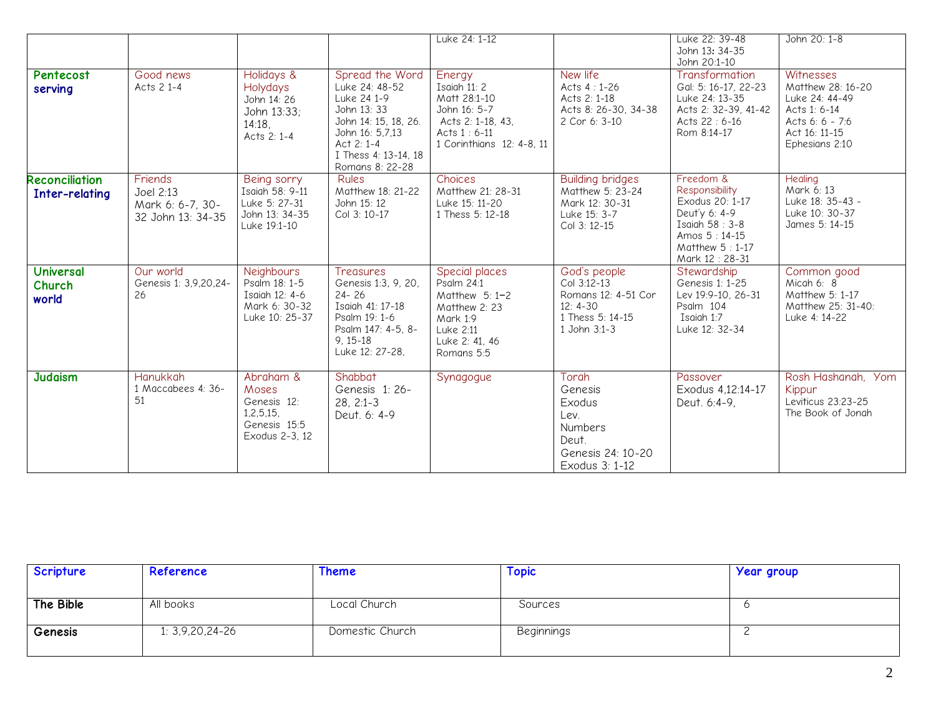|                                         |                                                               |                                                                                   |                                                                                                                                                                     | Luke 24: 1-12                                                                                                            |                                                                                                      | Luke 22: 39-48<br>John 13: 34-35<br>John 20:1-10                                                                                        | John 20: 1-8                                                                                                           |
|-----------------------------------------|---------------------------------------------------------------|-----------------------------------------------------------------------------------|---------------------------------------------------------------------------------------------------------------------------------------------------------------------|--------------------------------------------------------------------------------------------------------------------------|------------------------------------------------------------------------------------------------------|-----------------------------------------------------------------------------------------------------------------------------------------|------------------------------------------------------------------------------------------------------------------------|
| Pentecost<br>serving                    | Good news<br>Acts 2 1-4                                       | Holidays &<br>Holydays<br>John 14: 26<br>John 13:33;<br>$14:18$ .<br>Acts 2: 1-4  | Spread the Word<br>Luke 24: 48-52<br>Luke 24 1-9<br>John 13: 33<br>John 14: 15, 18, 26.<br>John 16: 5,7,13<br>Act 2: 1-4<br>I Thess 4: 13-14. 18<br>Romans 8: 22-28 | Energy<br>Isaiah $11:2$<br>Matt 28:1-10<br>John 16: 5-7<br>Acts 2: 1-18, 43,<br>Acts 1:6-11<br>1 Corinthians 12: 4-8, 11 | New life<br>Acts $4:1-26$<br>Acts 2: 1-18<br>Acts 8: 26-30, 34-38<br>2 Cor 6: 3-10                   | Transformation<br>Gal: 5: 16-17, 22-23<br>Luke 24: 13-35<br>Acts 2: 32-39, 41-42<br>Acts 22:6-16<br>Rom 8:14-17                         | Witnesses<br>Matthew 28: 16-20<br>Luke 24: 44-49<br>Acts 1: 6-14<br>Acts 6: 6 - 7:6<br>Act 16: 11-15<br>Ephesians 2:10 |
| <b>Reconciliation</b><br>Inter-relating | Friends<br>Joel 2:13<br>Mark 6: 6-7, 30-<br>32 John 13: 34-35 | Being sorry<br>Isaiah 58: 9-11<br>Luke 5: 27-31<br>John 13: 34-35<br>Luke 19:1-10 | <b>Rules</b><br>Matthew 18: 21-22<br>John 15: 12<br>Col 3: 10-17                                                                                                    | Choices<br>Matthew 21: 28-31<br>Luke 15: 11-20<br>1 Thess 5: 12-18                                                       | <b>Building bridges</b><br>Matthew 5: 23-24<br>Mark 12: 30-31<br>Luke 15: 3-7<br>Col 3: 12-15        | Freedom &<br>Responsibility<br>Exodus 20: 1-17<br>Deut'y 6: 4-9<br>Isaiah 58: 3-8<br>Amos 5:14-15<br>Matthew $5:1-17$<br>Mark 12: 28-31 | Healing<br>Mark 6: 13<br>Luke 18: 35-43 -<br>Luke 10: 30-37<br>James 5: 14-15                                          |
| <b>Universal</b><br>Church<br>world     | Our world<br>Genesis 1: 3,9,20,24-<br>26                      | Neighbours<br>Psalm 18: 1-5<br>Isaiah 12: 4-6<br>Mark 6: 30-32<br>Luke 10: 25-37  | <b>Treasures</b><br>Genesis 1:3, 9, 20,<br>$24 - 26$<br>Isaiah 41: 17-18<br>Psalm 19: 1-6<br>Psalm 147: 4-5, 8-<br>$9.15 - 18$<br>Luke 12: 27-28.                   | Special places<br>Psalm 24:1<br>Matthew 5: 1-2<br>Matthew 2: 23<br>Mark 1:9<br>Luke 2:11<br>Luke 2: 41, 46<br>Romans 5:5 | God's people<br>Col 3:12-13<br>Romans 12: 4-51 Cor<br>$12: 4-30$<br>1 Thess 5: 14-15<br>1 John 3:1-3 | Stewardship<br>Genesis 1: 1-25<br>Lev 19:9-10, 26-31<br>Psalm 104<br>Isaiah 1:7<br>Luke 12: 32-34                                       | Common good<br>Micah 6: 8<br>Matthew 5: 1-17<br>Matthew 25: 31-40:<br>Luke 4: 14-22                                    |
| <b>Judaism</b>                          | <b>Hanukkah</b><br>1 Maccabees 4: 36-<br>51                   | Abraham &<br>Moses<br>Genesis 12:<br>1.2.5.15.<br>Genesis 15:5<br>Exodus 2-3, 12  | Shabbat<br>Genesis 1: 26-<br>$28, 2:1-3$<br>Deut. 6: 4-9                                                                                                            | Synagogue                                                                                                                | Torah<br>Genesis<br>Exodus<br>Lev.<br>Numbers<br>Deut.<br>Genesis 24: 10-20<br>Exodus 3: 1-12        | Passover<br>Exodus 4,12:14-17<br>Deut. 6:4-9,                                                                                           | Rosh Hashanah, Yom<br>Kippur<br>Leviticus 23:23-25<br>The Book of Jonah                                                |

| Scripture | Reference       | Theme           | <b>Topic</b> | <b>Year group</b> |
|-----------|-----------------|-----------------|--------------|-------------------|
| The Bible | All books       | Local Church    | Sources      |                   |
| Genesis   | 1: 3,9,20,24-26 | Domestic Church | Beginnings   |                   |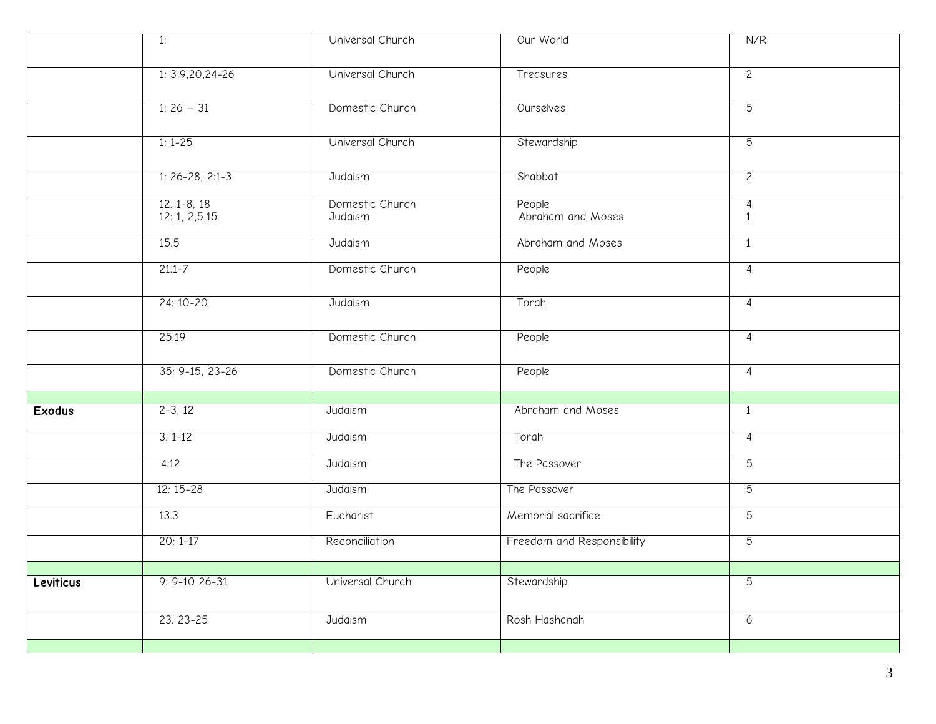|               | 1:                              | Universal Church           | Our World                   | N/R                            |
|---------------|---------------------------------|----------------------------|-----------------------------|--------------------------------|
|               | $1: 3,9,20,24-26$               | Universal Church           | Treasures                   | $\overline{2}$                 |
|               | $1:26-31$                       | Domestic Church            | Ourselves                   | 5                              |
|               | $1: 1 - 25$                     | Universal Church           | Stewardship                 | $\overline{5}$                 |
|               | $1: 26 - 28, 2:1 - 3$           | Judaism                    | Shabbat                     | $\overline{2}$                 |
|               | $12: 1 - 8, 18$<br>12:1, 2,5,15 | Domestic Church<br>Judaism | People<br>Abraham and Moses | $\overline{4}$<br>$\mathbf{1}$ |
|               | 15:5                            | Judaism                    | Abraham and Moses           | $\overline{1}$                 |
|               | $21:1 - 7$                      | Domestic Church            | People                      | $\overline{4}$                 |
|               | $24:10-20$                      | Judaism                    | Torah                       | $\overline{4}$                 |
|               | 25:19                           | Domestic Church            | People                      | $\overline{4}$                 |
|               | 35: 9-15, 23-26                 | Domestic Church            | People                      | $\overline{4}$                 |
| <b>Exodus</b> | $2-3, 12$                       | Judaism                    | Abraham and Moses           | $\mathbf{1}$                   |
|               |                                 |                            |                             |                                |
|               | $3:1-12$                        | Judaism                    | Torah                       | $\overline{4}$                 |
|               | 4:12                            | Judaism                    | The Passover                | $\overline{5}$                 |
|               | $12:15 - 28$                    | Judaism                    | The Passover                | $\overline{5}$                 |
|               | 13.3                            | Eucharist                  | Memorial sacrifice          | $\overline{5}$                 |
|               | $20:1 - 17$                     | Reconciliation             | Freedom and Responsibility  | $\overline{5}$                 |
|               |                                 |                            |                             |                                |
| Leviticus     | $9: 9 - 1026 - 31$              | Universal Church           | Stewardship                 | 5                              |
|               | $23:23-25$                      | Judaism                    | Rosh Hashanah               | 6                              |
|               |                                 |                            |                             |                                |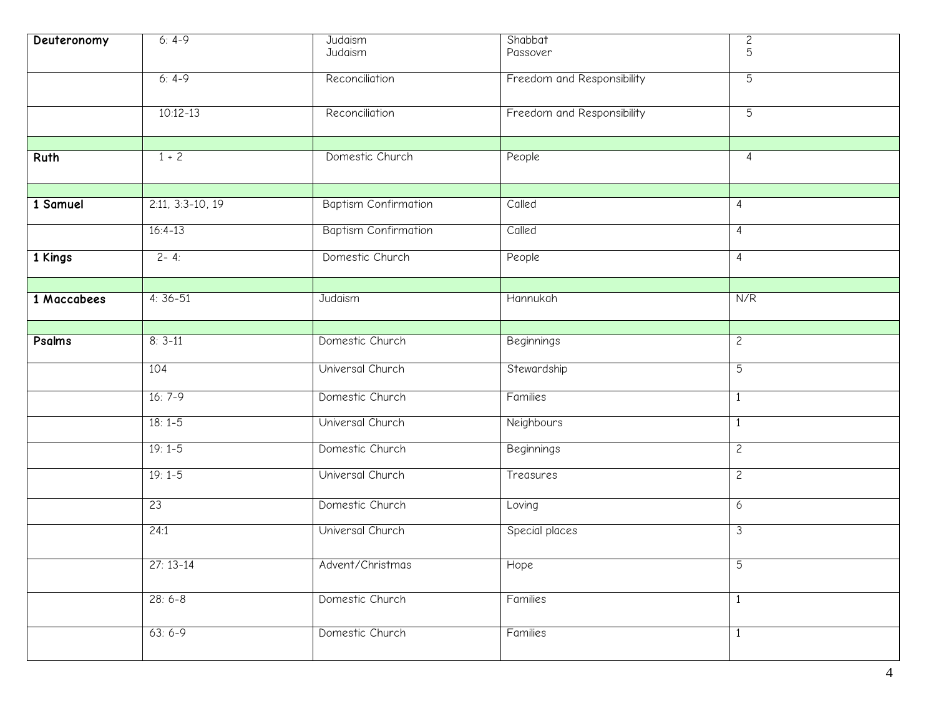| Deuteronomy | $6: 4-9$           | Judaism<br>Judaism          | Shabbat<br>Passover        | $\overline{c}$<br>5 |
|-------------|--------------------|-----------------------------|----------------------------|---------------------|
|             | $6: 4-9$           | Reconciliation              | Freedom and Responsibility | $\overline{5}$      |
|             | $10:12 - 13$       | Reconciliation              | Freedom and Responsibility | $\overline{5}$      |
|             |                    |                             |                            |                     |
| Ruth        | $1 + 2$            | Domestic Church             | People                     | $\overline{4}$      |
|             |                    |                             |                            |                     |
| 1 Samuel    | $2:11, 3:3-10, 19$ | <b>Baptism Confirmation</b> | Called                     | 4                   |
|             | $16:4-13$          | <b>Baptism Confirmation</b> | Called                     | $\overline{4}$      |
| 1 Kings     | $2 - 4:$           | Domestic Church             | People                     | 4                   |
|             |                    |                             |                            |                     |
| 1 Maccabees | $4:36-51$          | Judaism                     | Hannukah                   | N/R                 |
|             |                    |                             |                            |                     |
| Psalms      | $8:3-11$           | Domestic Church             | <b>Beginnings</b>          | $\overline{c}$      |
|             | 104                | Universal Church            | Stewardship                | $\overline{5}$      |
|             | $16:7-9$           | Domestic Church             | Families                   | $\mathbf{1}$        |
|             | $18:1-5$           | Universal Church            | Neighbours                 | $\mathbf{1}$        |
|             | $19:1-5$           | Domestic Church             | <b>Beginnings</b>          | $\overline{2}$      |
|             | $19:1-5$           | Universal Church            | Treasures                  | $\mathsf{S}$        |
|             | 23                 | Domestic Church             | Loving                     | 6                   |
|             | 24:1               | Universal Church            | Special places             | 3                   |
|             | $27:13-14$         | Advent/Christmas            | Hope                       | C                   |
|             | $28:6-8$           | Domestic Church             | Families                   | $\mathbf{1}$        |
|             | $63:6-9$           | Domestic Church             | Families                   | $\mathbf{1}$        |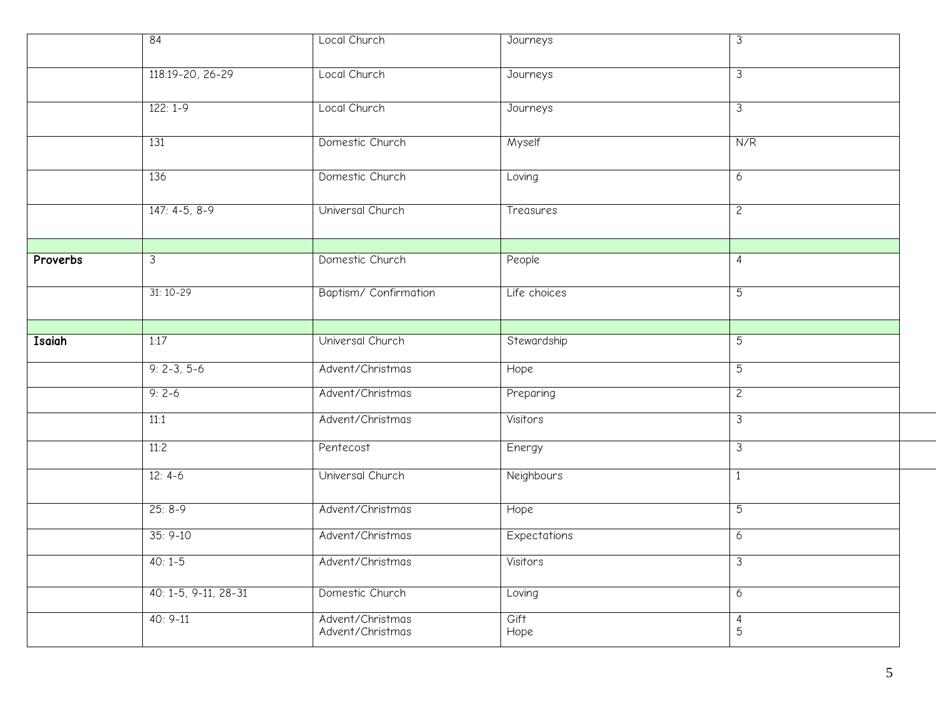|          | 84                   | Local Church                         | Journeys     | $\overline{\omega}$      |
|----------|----------------------|--------------------------------------|--------------|--------------------------|
|          | 118:19-20, 26-29     | Local Church                         | Journeys     | $\overline{3}$           |
|          | $122:1-9$            | Local Church                         | Journeys     | $\overline{\mathcal{L}}$ |
|          | 131                  | Domestic Church                      | Myself       | N/R                      |
|          | 136                  | Domestic Church                      | Loving       | 6                        |
|          | $147: 4-5, 8-9$      | Universal Church                     | Treasures    | $\mathbf{2}$             |
| Proverbs | 3                    | Domestic Church                      | People       | 4                        |
|          | $31:10-29$           | Baptism/Confirmation                 | Life choices | $\overline{5}$           |
|          |                      |                                      |              |                          |
| Isaiah   | 1:17                 | Universal Church                     | Stewardship  | 5                        |
|          | $9: 2-3, 5-6$        | Advent/Christmas                     | Hope         | 5                        |
|          | $9:2-6$              | Advent/Christmas                     | Preparing    | $\overline{2}$           |
|          | 11:1                 | Advent/Christmas                     | Visitors     | $\mathfrak{Z}$           |
|          | 11:2                 | Pentecost                            | Energy       | $\overline{3}$           |
|          | $12: 4-6$            | Universal Church                     | Neighbours   | $\mathbf{1}$             |
|          | $25:8-9$             | Advent/Christmas                     | Hope         | 5                        |
|          | $35:9-10$            | Advent/Christmas                     | Expectations | 6                        |
|          | $40:1-5$             | Advent/Christmas                     | Visitors     | $\overline{\omega}$      |
|          | 40: 1-5, 9-11, 28-31 | Domestic Church                      | Loving       | 6                        |
|          | $40:9-11$            | Advent/Christmas<br>Advent/Christmas | Gift<br>Hope | $\overline{4}$<br>5      |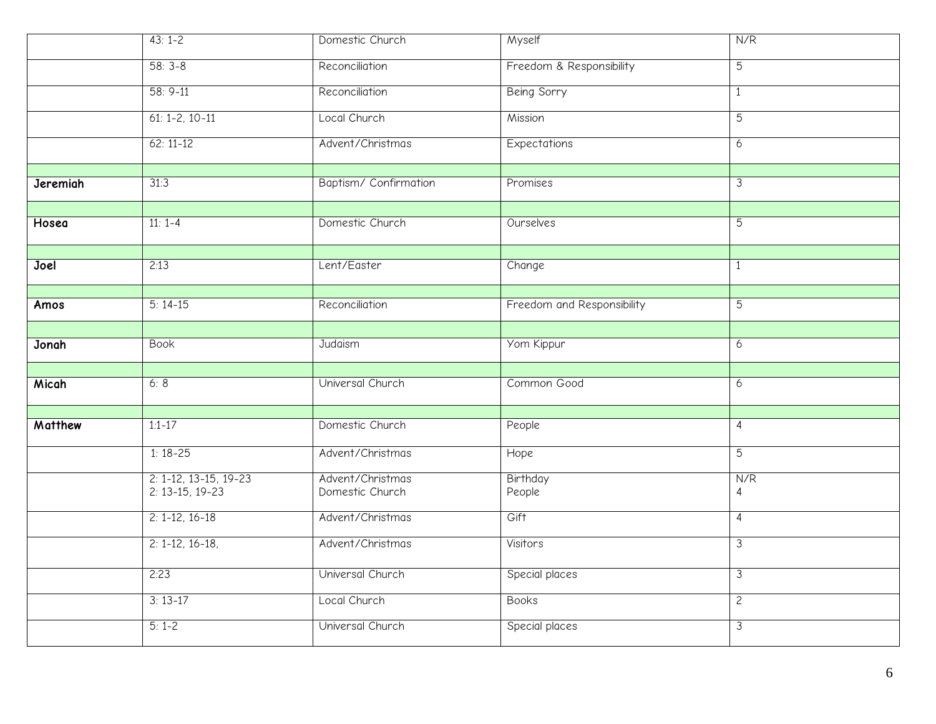|          | $43:1-2$                                     | Domestic Church                     | Myself                     | N/R                   |
|----------|----------------------------------------------|-------------------------------------|----------------------------|-----------------------|
|          | $58:3-8$                                     | Reconciliation                      | Freedom & Responsibility   | $5\overline{)}$       |
|          | $58: 9-11$                                   | Reconciliation                      | <b>Being Sorry</b>         | $\mathbf{1}$          |
|          | $61: 1 - 2, 10 - 11$                         | Local Church                        | Mission                    | $\overline{5}$        |
|          | $62:11-12$                                   | Advent/Christmas                    | Expectations               | $6\overline{6}$       |
|          |                                              |                                     |                            |                       |
| Jeremiah | 31:3                                         | Baptism/ Confirmation               | Promises                   | $\overline{3}$        |
|          |                                              |                                     |                            |                       |
| Hosea    | $11: 1-4$                                    | Domestic Church                     | Ourselves                  | $\overline{5}$        |
|          |                                              |                                     |                            |                       |
| Joel     | 2:13                                         | Lent/Easter                         | Change                     | $\mathbf{1}$          |
|          |                                              |                                     |                            |                       |
| Amos     | $5:14-15$                                    | Reconciliation                      | Freedom and Responsibility | 5                     |
|          |                                              |                                     |                            |                       |
| Jonah    | <b>Book</b>                                  | Judaism                             | Yom Kippur                 | $6\overline{6}$       |
|          |                                              |                                     |                            |                       |
| Micah    | 6:8                                          | Universal Church                    | Common Good                | 6                     |
|          |                                              |                                     |                            |                       |
| Matthew  | $1:1-17$                                     | Domestic Church                     | People                     | $\overline{4}$        |
|          | $1:18-25$                                    | Advent/Christmas                    | Hope                       | $\overline{5}$        |
|          | $2: 1-12, 13-15, 19-23$<br>$2: 13-15, 19-23$ | Advent/Christmas<br>Domestic Church | Birthday<br>People         | N/R<br>$\overline{4}$ |
|          |                                              |                                     |                            |                       |
|          | $2: 1-12, 16-18$                             | Advent/Christmas                    | Gift                       | $\overline{4}$        |
|          | $2: 1-12, 16-18,$                            | Advent/Christmas                    | Visitors                   | $\overline{3}$        |
|          | 2:23                                         | Universal Church                    | Special places             | 3                     |
|          | $3:13-17$                                    | Local Church                        |                            |                       |
|          |                                              |                                     | <b>Books</b>               | $\overline{2}$        |
|          | $5:1-2$                                      | Universal Church                    | Special places             | 3                     |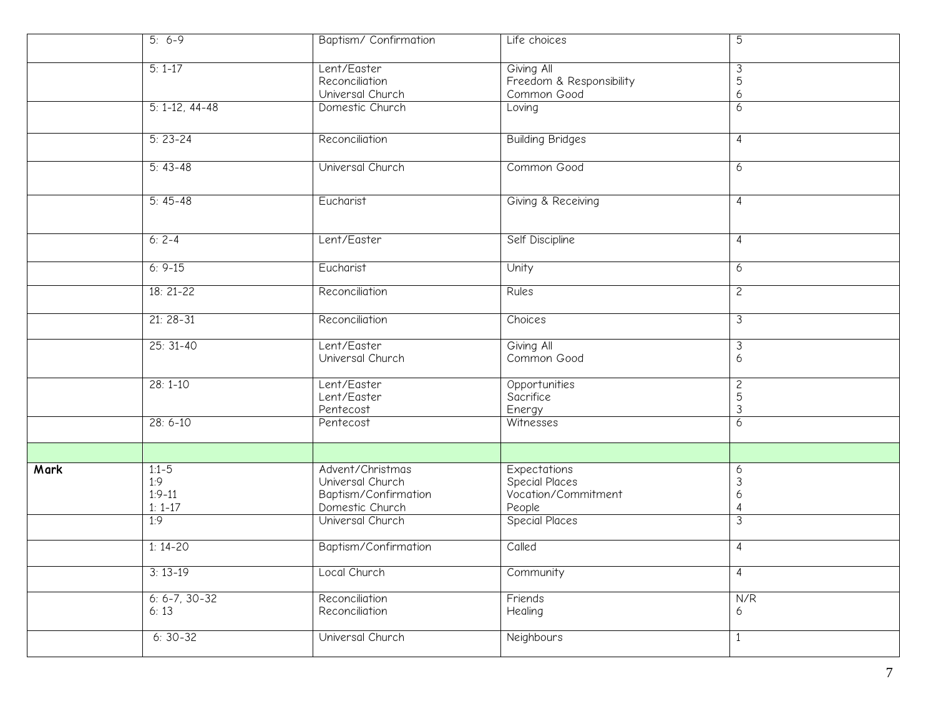|      | $5: 6-9$                                  | Baptism/Confirmation                                                            | Life choices                                                           | 5                      |
|------|-------------------------------------------|---------------------------------------------------------------------------------|------------------------------------------------------------------------|------------------------|
|      | $5:1-17$                                  | Lent/Easter<br>Reconciliation<br>Universal Church                               | Giving All<br>Freedom & Responsibility<br>Common Good                  | 3<br>5<br>6            |
|      | $5: 1-12, 44-48$                          | Domestic Church                                                                 | Loving                                                                 | 6                      |
|      | $5: 23 - 24$                              | Reconciliation                                                                  | <b>Building Bridges</b>                                                | 4                      |
|      | $5:43-48$                                 | Universal Church                                                                | Common Good                                                            | 6                      |
|      | $5:45-48$                                 | Eucharist                                                                       | Giving & Receiving                                                     | 4                      |
|      | $6: 2-4$                                  | Lent/Easter                                                                     | Self Discipline                                                        | 4                      |
|      | $6: 9-15$                                 | Eucharist                                                                       | Unity                                                                  | 6                      |
|      | $18:21-22$                                | Reconciliation                                                                  | <b>Rules</b>                                                           | $\overline{c}$         |
|      | $21:28-31$                                | Reconciliation                                                                  | Choices                                                                | $\overline{3}$         |
|      | $25: 31-40$                               | Lent/Easter<br>Universal Church                                                 | Giving All<br>Common Good                                              | 3<br>6                 |
|      | $28:1 - 10$                               | Lent/Easter<br>Lent/Easter<br>Pentecost                                         | Opportunities<br>Sacrifice<br>Energy                                   | $\mathbf{2}$<br>5<br>3 |
|      | $28: 6 - 10$                              | Pentecost                                                                       | Witnesses                                                              | 6                      |
|      |                                           |                                                                                 |                                                                        |                        |
| Mark | $1:1-5$<br>1:9<br>$1:9 - 11$<br>$1: 1-17$ | Advent/Christmas<br>Universal Church<br>Baptism/Confirmation<br>Domestic Church | <b>Expectations</b><br>Special Places<br>Vocation/Commitment<br>People | 6<br>3<br>6<br>4       |
|      | 1:9                                       | Universal Church                                                                | Special Places                                                         | 3                      |
|      | $1:14-20$                                 | Baptism/Confirmation                                                            | Called                                                                 | 4                      |
|      | $3:13-19$                                 | Local Church                                                                    | Community                                                              | 4                      |
|      | $6: 6 - 7, 30 - 32$<br>6:13               | Reconciliation<br>Reconciliation                                                | Friends<br>Healing                                                     | N/R<br>6               |
|      | $6:30-32$                                 | Universal Church                                                                | <b>Neighbours</b>                                                      | $\mathbf{1}$           |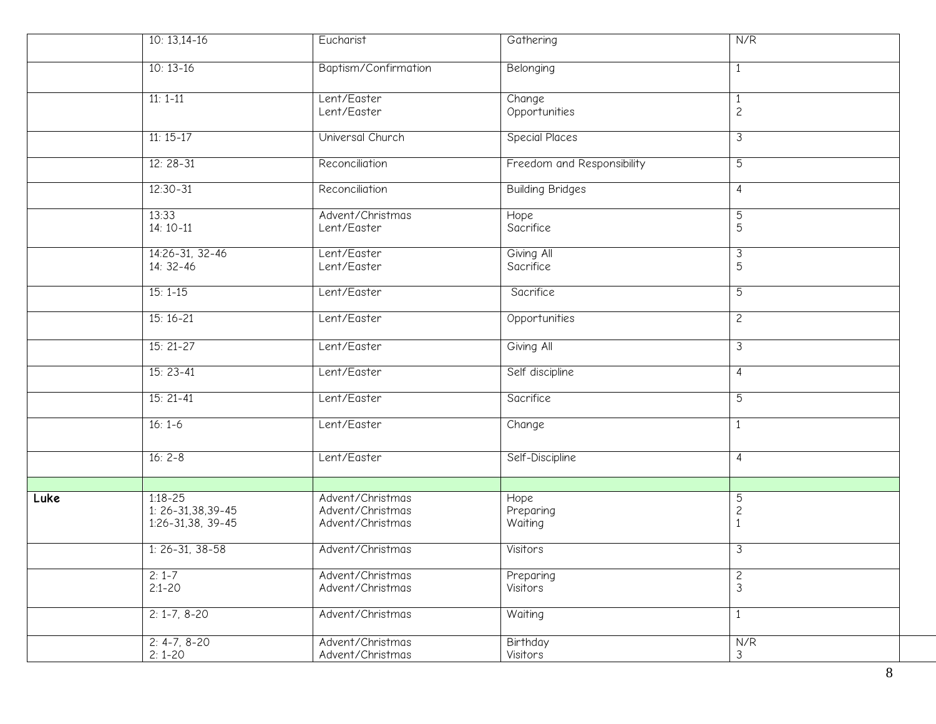|      | $10:13,14-16$                                                 | Eucharist                                                | Gathering                    | N/R                               |
|------|---------------------------------------------------------------|----------------------------------------------------------|------------------------------|-----------------------------------|
|      | $10:13-16$                                                    | Baptism/Confirmation                                     | Belonging                    | 1                                 |
|      | $11: 1-11$                                                    | Lent/Easter<br>Lent/Easter                               | Change<br>Opportunities      | 1<br>$\mathbf{2}$                 |
|      | $11:15-17$                                                    | Universal Church                                         | <b>Special Places</b>        | 3                                 |
|      | $12:28-31$                                                    | Reconciliation                                           | Freedom and Responsibility   | $\overline{5}$                    |
|      | $12:30 - 31$                                                  | Reconciliation                                           | <b>Building Bridges</b>      | 4                                 |
|      | 13:33<br>$14:10-11$                                           | Advent/Christmas<br>Lent/Easter                          | Hope<br>Sacrifice            | 5<br>5                            |
|      | 14:26-31, 32-46<br>$14:32-46$                                 | Lent/Easter<br>Lent/Easter                               | Giving All<br>Sacrifice      | 3<br>5                            |
|      | $15:1-15$                                                     | Lent/Easter                                              | Sacrifice                    | $\overline{5}$                    |
|      | $15:16-21$                                                    | Lent/Easter                                              | Opportunities                | $\mathbf{2}$                      |
|      | $15:21-27$                                                    | Lent/Easter                                              | Giving All                   | 3                                 |
|      | $15:23-41$                                                    | Lent/Easter                                              | Self discipline              | $\overline{4}$                    |
|      | $15:21-41$                                                    | Lent/Easter                                              | Sacrifice                    | $\overline{5}$                    |
|      | $16:1-6$                                                      | Lent/Easter                                              | Change                       | $\mathbf{1}$                      |
|      | $16: 2 - 8$                                                   | Lent/Easter                                              | Self-Discipline              | 4                                 |
|      |                                                               |                                                          |                              |                                   |
| Luke | $1:18 - 25$<br>$1: 26 - 31, 38, 39 - 45$<br>1:26-31,38, 39-45 | Advent/Christmas<br>Advent/Christmas<br>Advent/Christmas | Hope<br>Preparing<br>Waiting | 5<br>$\mathbf{2}$<br>$\mathbf{1}$ |
|      | $1: 26-31, 38-58$                                             | Advent/Christmas                                         | Visitors                     | 3                                 |
|      | $2:1-7$<br>$2:1 - 20$                                         | Advent/Christmas<br>Advent/Christmas                     | Preparing<br>Visitors        | $\mathbf{2}$<br>$\mathfrak{Z}$    |
|      | $2: 1 - 7, 8 - 20$                                            | Advent/Christmas                                         | Waiting                      | 1                                 |
|      | $2: 4-7, 8-20$<br>$2:1-20$                                    | Advent/Christmas<br>Advent/Christmas                     | Birthday<br>Visitors         | N/R<br>$\mathfrak{Z}$             |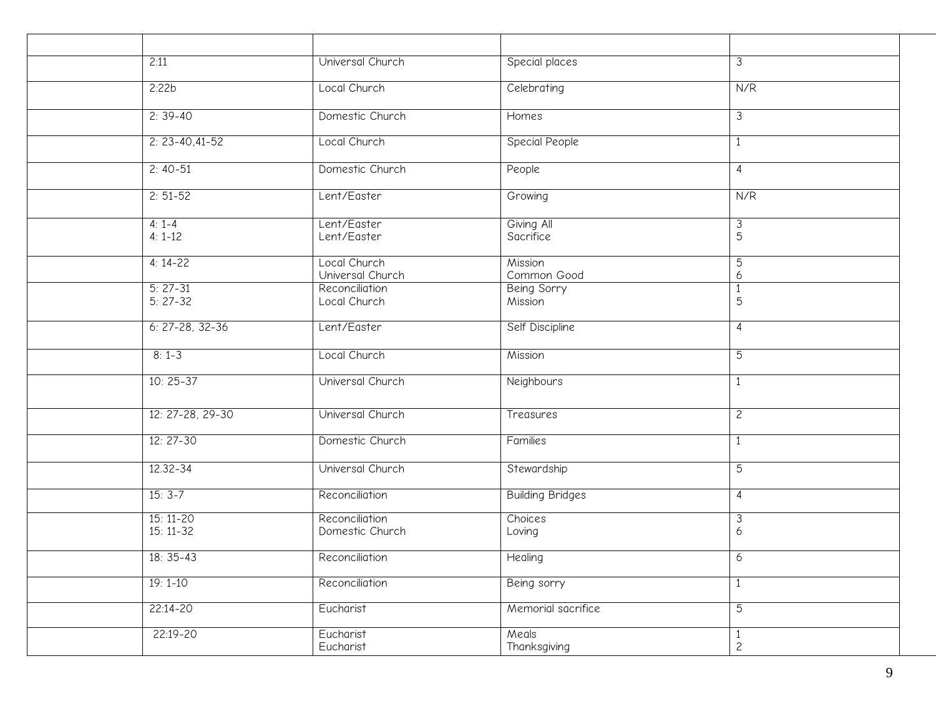| 2:11                     | Universal Church                  | Special places                | 3                            |
|--------------------------|-----------------------------------|-------------------------------|------------------------------|
| 2:22b                    | Local Church                      | Celebrating                   | N/R                          |
| $2:39-40$                | Domestic Church                   | Homes                         | 3                            |
| $2: 23 - 40, 41 - 52$    | Local Church                      | <b>Special People</b>         | $\mathbf{1}$                 |
| $2: 40-51$               | Domestic Church                   | People                        | $\overline{4}$               |
| $2: 51 - 52$             | Lent/Easter                       | Growing                       | N/R                          |
| $4: 1 - 4$<br>$4: 1-12$  | Lent/Easter<br>Lent/Easter        | Giving All<br>Sacrifice       | $\mathfrak{Z}$<br>5          |
| $4:14-22$                | Local Church<br>Universal Church  | Mission<br>Common Good        | 5<br>6                       |
| $5: 27-31$<br>$5: 27-32$ | Reconciliation<br>Local Church    | <b>Being Sorry</b><br>Mission | $\mathbf{1}$<br>5            |
| $6: 27-28, 32-36$        | Lent/Easter                       | Self Discipline               | 4                            |
| $8:1-3$                  | Local Church                      | Mission                       | 5                            |
| $10:25-37$               | Universal Church                  | Neighbours                    | $\mathbf{1}$                 |
| 12: 27-28, 29-30         | Universal Church                  | Treasures                     | $\overline{c}$               |
| $12:27-30$               | Domestic Church                   | Families                      | $\mathbf{1}$                 |
| 12.32-34                 | Universal Church                  | Stewardship                   | 5                            |
| $15:3-7$                 | Reconciliation                    | <b>Building Bridges</b>       | $\overline{4}$               |
| $15:11-20$<br>$15:11-32$ | Reconciliation<br>Domestic Church | Choices<br>Loving             | 3<br>6                       |
| $18:35-43$               | Reconciliation                    | Healing                       | 6                            |
| $19:1 - 10$              | Reconciliation                    | Being sorry                   | 1                            |
| 22:14-20                 | Eucharist                         | Memorial sacrifice            | $\overline{5}$               |
| 22:19-20                 | Eucharist<br>Eucharist            | Meals<br>Thanksgiving         | $\mathbf{1}$<br>$\mathbf{2}$ |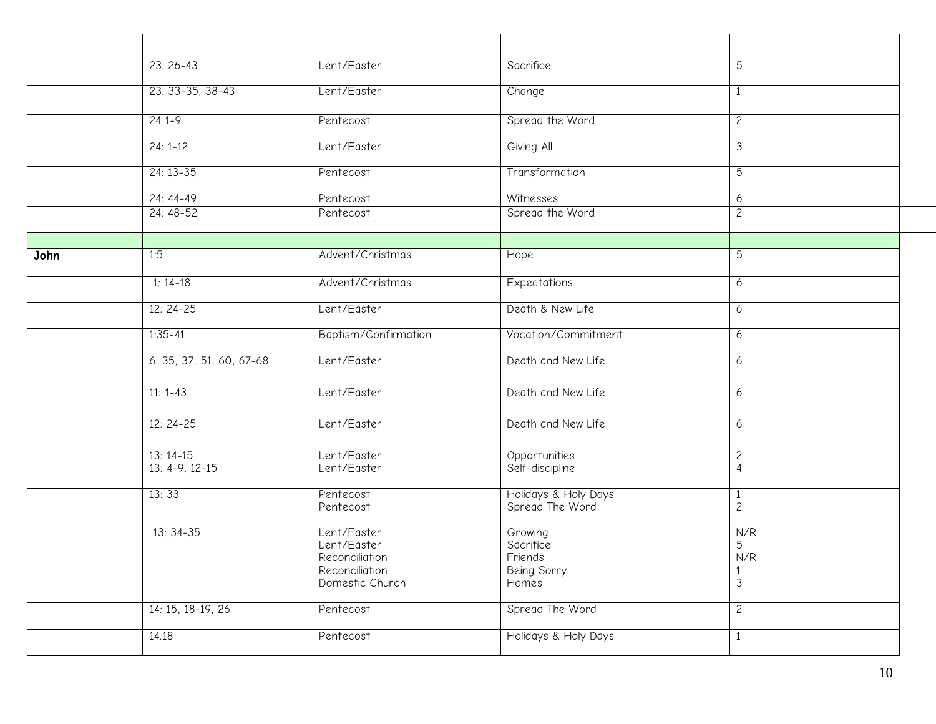|      | $23:26-43$               | Lent/Easter            | Sacrifice                               | 5                              |  |
|------|--------------------------|------------------------|-----------------------------------------|--------------------------------|--|
|      |                          |                        |                                         |                                |  |
|      | $23: 33-35, 38-43$       | Lent/Easter            | Change                                  | $\mathbf{1}$                   |  |
|      | $241-9$                  | Pentecost              | Spread the Word                         | $\mathsf{S}$                   |  |
|      |                          |                        |                                         |                                |  |
|      | $24:1-12$                | Lent/Easter            | Giving All                              | 3                              |  |
|      | $24:13-35$               | Pentecost              | Transformation                          | $\overline{5}$                 |  |
|      | $24: 44-49$              | Pentecost              | Witnesses                               | 6                              |  |
|      | $24:48-52$               | Pentecost              | Spread the Word                         | $\overline{c}$                 |  |
|      |                          |                        |                                         |                                |  |
|      |                          |                        |                                         |                                |  |
| John | 1:5                      | Advent/Christmas       | Hope                                    | 5                              |  |
|      | $1:14-18$                | Advent/Christmas       | Expectations                            | 6                              |  |
|      |                          |                        |                                         |                                |  |
|      | $12:24-25$               | Lent/Easter            | Death & New Life                        | 6                              |  |
|      | $1:35 - 41$              | Baptism/Confirmation   | Vocation/Commitment                     | 6                              |  |
|      | 6: 35, 37, 51, 60, 67-68 | Lent/Easter            | Death and New Life                      |                                |  |
|      |                          |                        |                                         | 6                              |  |
|      | $11: 1-43$               | Lent/Easter            | Death and New Life                      | 6                              |  |
|      |                          |                        |                                         |                                |  |
|      | $12:24-25$               | Lent/Easter            | Death and New Life                      | 6                              |  |
|      |                          |                        |                                         |                                |  |
|      | $13:14-15$               | Lent/Easter            | Opportunities                           | $\overline{c}$                 |  |
|      | $13: 4-9, 12-15$         | Lent/Easter            | Self-discipline                         | $\overline{4}$                 |  |
|      |                          |                        |                                         |                                |  |
|      | 13:33                    | Pentecost<br>Pentecost | Holidays & Holy Days<br>Spread The Word | $\mathbf{1}$<br>$\overline{c}$ |  |
|      |                          |                        |                                         |                                |  |
|      | $13:34-35$               | Lent/Easter            | Growing                                 | N/R                            |  |
|      |                          | Lent/Easter            | Sacrifice                               | 5                              |  |
|      |                          | Reconciliation         | Friends                                 | N/R                            |  |
|      |                          | Reconciliation         | Being Sorry                             | $\frac{1}{3}$                  |  |
|      |                          | Domestic Church        | Homes                                   |                                |  |
|      | 14: 15, 18-19, 26        | Pentecost              | Spread The Word                         | $\overline{c}$                 |  |
|      |                          |                        |                                         |                                |  |
|      | 14:18                    | Pentecost              | Holidays & Holy Days                    | $\mathbf{1}$                   |  |
|      |                          |                        |                                         |                                |  |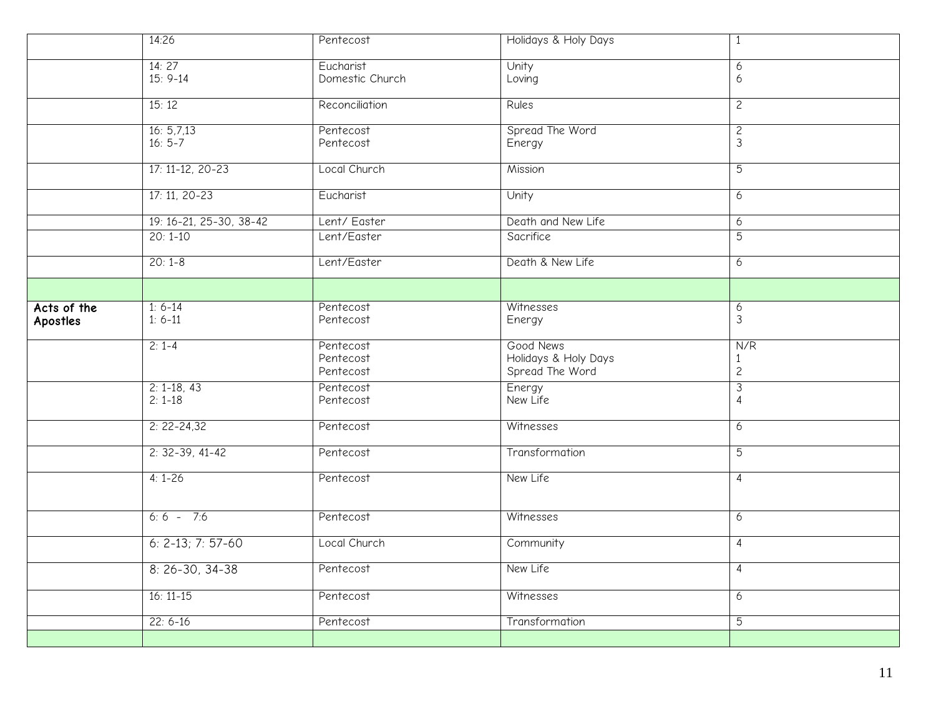|                         | 14:26                      | Pentecost                           | Holidays & Holy Days                                 | $\mathbf{1}$                          |
|-------------------------|----------------------------|-------------------------------------|------------------------------------------------------|---------------------------------------|
|                         | 14:27<br>$15: 9-14$        | Eucharist<br>Domestic Church        | Unity<br>Loving                                      | 6<br>6                                |
|                         | 15:12                      | Reconciliation                      | Rules                                                | $\overline{2}$                        |
|                         | 16: 5,7,13<br>$16:5 - 7$   | Pentecost<br>Pentecost              | Spread The Word<br>Energy                            | $\overline{c}$<br>$\mathfrak{Z}$      |
|                         | $17: 11-12, 20-23$         | Local Church                        | Mission                                              | $\overline{5}$                        |
|                         | $17: 11, 20-23$            | Eucharist                           | Unity                                                | $\overline{6}$                        |
|                         | 19: 16-21, 25-30, 38-42    | Lent/Easter                         | Death and New Life                                   | 6                                     |
|                         | $20:1-10$                  | Lent/Easter                         | Sacrifice                                            | $\overline{5}$                        |
|                         | $20:1-8$                   | Lent/Easter                         | Death & New Life                                     | 6                                     |
|                         |                            |                                     |                                                      |                                       |
| Acts of the<br>Apostles | $1: 6-14$<br>$1: 6-11$     | Pentecost<br>Pentecost              | Witnesses<br>Energy                                  | $\boldsymbol{6}$<br>$\mathfrak{Z}$    |
|                         |                            |                                     |                                                      |                                       |
|                         | $2: 1-4$                   | Pentecost<br>Pentecost<br>Pentecost | Good News<br>Holidays & Holy Days<br>Spread The Word | N/R<br>$\mathbf{1}$<br>$\overline{c}$ |
|                         | $2: 1-18, 43$<br>$2: 1-18$ | Pentecost<br>Pentecost              | Energy<br>New Life                                   | $\mathfrak{Z}$<br>4                   |
|                         | $2: 22 - 24, 32$           | Pentecost                           | Witnesses                                            | 6                                     |
|                         | $2: 32-39, 41-42$          | Pentecost                           | Transformation                                       | 5                                     |
|                         | $4:1 - 26$                 | Pentecost                           | New Life                                             | 4                                     |
|                         | $6:6 - 7:6$                | Pentecost                           | Witnesses                                            | 6                                     |
|                         | $6: 2-13; 7: 57-60$        | Local Church                        | Community                                            | $\overline{4}$                        |
|                         | $8: 26-30, 34-38$          | Pentecost                           | New Life                                             | 4                                     |
|                         | $16:11-15$                 | Pentecost                           | Witnesses                                            | 6                                     |
|                         | $22: 6-16$                 | Pentecost                           | Transformation                                       | 5                                     |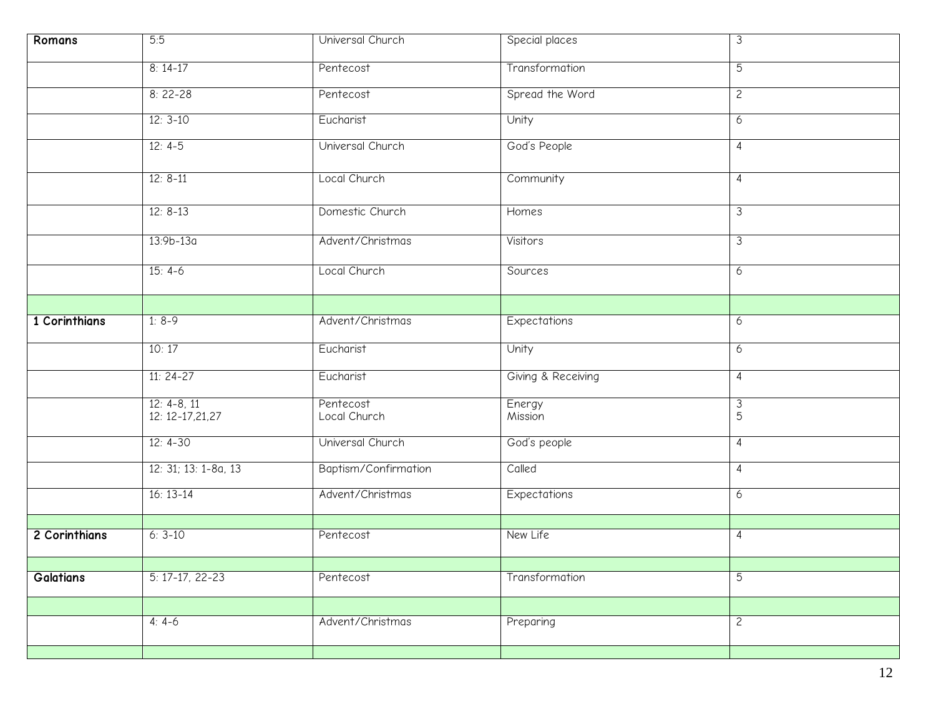| Romans           | 5:5                              | Universal Church          | Special places      | $\overline{3}$      |
|------------------|----------------------------------|---------------------------|---------------------|---------------------|
|                  | $8:14-17$                        | Pentecost                 | Transformation      | $\overline{5}$      |
|                  | $8:22-28$                        | Pentecost                 | Spread the Word     | $\overline{2}$      |
|                  | $12:3-10$                        | Eucharist                 | Unity               | 6                   |
|                  | $12: 4-5$                        | Universal Church          | God's People        | 4                   |
|                  | $12: 8-11$                       | Local Church              | Community           | $\overline{4}$      |
|                  | $12: 8-13$                       | Domestic Church           | Homes               | 3                   |
|                  | $13:9b-13a$                      | Advent/Christmas          | Visitors            | 3                   |
|                  | $15: 4-6$                        | Local Church              | Sources             | 6                   |
|                  |                                  |                           |                     |                     |
| 1 Corinthians    | $1:8-9$                          | Advent/Christmas          | <b>Expectations</b> | 6                   |
|                  | 10:17                            | Eucharist                 | Unity               | 6                   |
|                  | $11:24-27$                       | Eucharist                 | Giving & Receiving  | $\overline{4}$      |
|                  | $12: 4-8, 11$<br>12: 12-17,21,27 | Pentecost<br>Local Church | Energy<br>Mission   | $\mathfrak{Z}$<br>5 |
|                  | $12: 4-30$                       | Universal Church          | God's people        | 4                   |
|                  | 12: 31; 13: 1-8a, 13             | Baptism/Confirmation      | Called              | $\overline{4}$      |
|                  | $16:13-14$                       | Advent/Christmas          | Expectations        | 6                   |
|                  |                                  |                           |                     |                     |
| 2 Corinthians    | $6:3-10$                         | Pentecost                 | New Life            | 4                   |
| <b>Galatians</b> | $5: 17-17, 22-23$                | Pentecost                 | Transformation      | 5                   |
|                  |                                  |                           |                     |                     |
|                  |                                  |                           |                     |                     |
|                  | $4: 4-6$                         | Advent/Christmas          | Preparing           | $\mathsf{S}$        |
|                  |                                  |                           |                     |                     |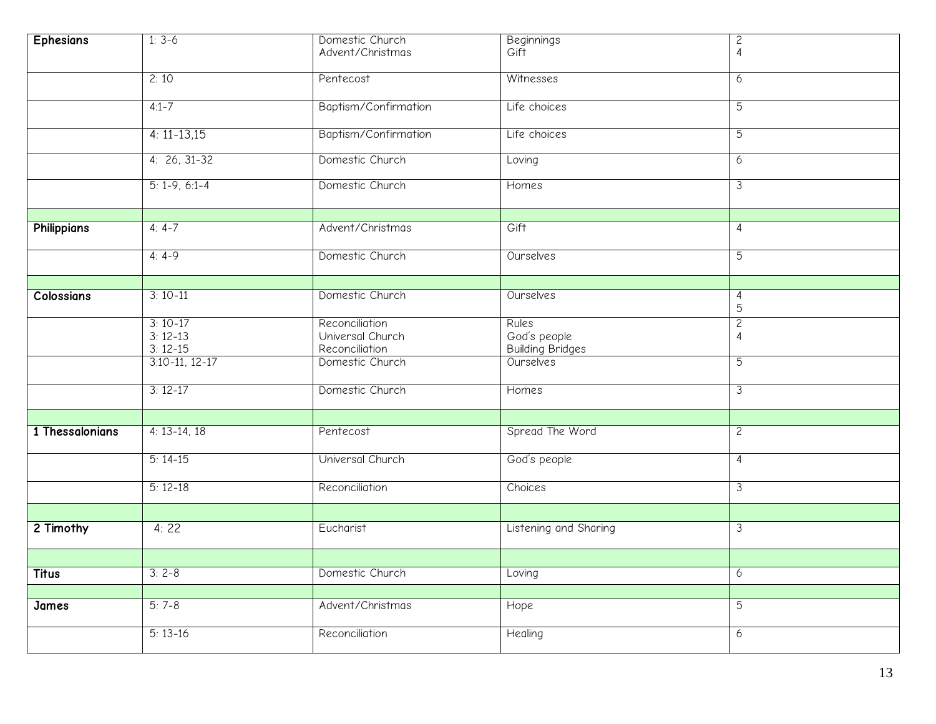| <b>Ephesians</b>   | $1: 3-6$             | Domestic Church      | <b>Beginnings</b>       | $\overline{c}$   |
|--------------------|----------------------|----------------------|-------------------------|------------------|
|                    |                      | Advent/Christmas     | Gift                    | 4                |
|                    | 2:10                 | Pentecost            | Witnesses               | 6                |
|                    |                      |                      |                         |                  |
|                    | $4:1 - 7$            | Baptism/Confirmation | Life choices            | 5                |
|                    | $4: 11 - 13,15$      | Baptism/Confirmation | Life choices            | 5                |
|                    |                      |                      |                         |                  |
|                    | $4: 26, 31-32$       | Domestic Church      | Loving                  | 6                |
|                    | $5: 1 - 9, 6: 1 - 4$ | Domestic Church      | Homes                   | 3                |
|                    |                      |                      |                         |                  |
| <b>Philippians</b> | $4: 4-7$             | Advent/Christmas     | Gift                    | 4                |
|                    |                      |                      |                         |                  |
|                    | $4: 4-9$             | Domestic Church      | Ourselves               | $\overline{5}$   |
|                    |                      |                      |                         |                  |
| Colossians         | $3:10-11$            | Domestic Church      | Ourselves               | 4                |
|                    |                      |                      |                         | 5                |
|                    | $3:10-17$            | Reconciliation       | Rules                   | $\overline{c}$   |
|                    | $3:12-13$            | Universal Church     | God's people            | 4                |
|                    | $3:12-15$            | Reconciliation       | <b>Building Bridges</b> |                  |
|                    | $3:10-11, 12-17$     | Domestic Church      | Ourselves               | $\overline{5}$   |
|                    | $3:12-17$            | Domestic Church      | Homes                   | 3                |
|                    |                      |                      |                         |                  |
| 1 Thessalonians    | $4: 13-14, 18$       | Pentecost            | Spread The Word         | $\overline{c}$   |
|                    |                      |                      |                         |                  |
|                    | $5:14-15$            | Universal Church     | God's people            | $\overline{4}$   |
|                    |                      |                      |                         |                  |
|                    | $5:12-18$            | Reconciliation       | Choices                 | 3                |
|                    |                      |                      |                         |                  |
| 2 Timothy          | 4:22                 | Eucharist            | Listening and Sharing   | 3                |
|                    |                      |                      |                         |                  |
| <b>Titus</b>       | $3:2-8$              | Domestic Church      | Loving                  | $\boldsymbol{6}$ |
|                    |                      |                      |                         |                  |
| James              | $5:7-8$              | Advent/Christmas     | Hope                    | $\overline{5}$   |
|                    |                      |                      |                         |                  |
|                    | $5:13-16$            | Reconciliation       | Healing                 | 6                |
|                    |                      |                      |                         |                  |